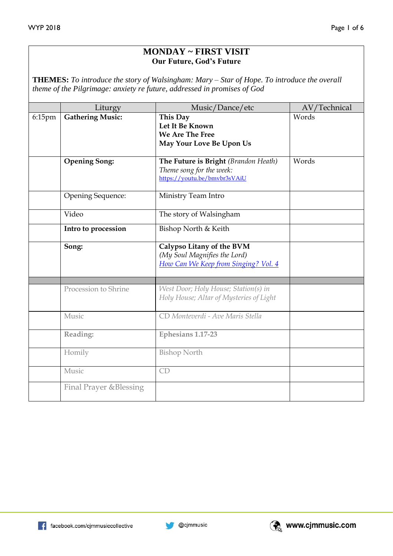### **MONDAY ~ FIRST VISIT Our Future, God's Future**

**THEMES:** *To introduce the story of Walsingham: Mary – Star of Hope. To introduce the overall theme of the Pilgrimage: anxiety re future, addressed in promises of God*

|        | Liturgy                 | Music/Dance/etc                                                                                   | AV/Technical |
|--------|-------------------------|---------------------------------------------------------------------------------------------------|--------------|
| 6:15pm | <b>Gathering Music:</b> | This Day<br>Let It Be Known<br><b>We Are The Free</b><br>May Your Love Be Upon Us                 | Words        |
|        | <b>Opening Song:</b>    | The Future is Bright (Brandon Heath)<br>Theme song for the week:<br>https://youtu.be/bmvbr3sVAiU  | Words        |
|        | Opening Sequence:       | Ministry Team Intro                                                                               |              |
|        | Video                   | The story of Walsingham                                                                           |              |
|        | Intro to procession     | Bishop North & Keith                                                                              |              |
|        | Song:                   | Calypso Litany of the BVM<br>(My Soul Magnifies the Lord)<br>How Can We Keep from Singing? Vol. 4 |              |
|        |                         |                                                                                                   |              |
|        | Procession to Shrine    | West Door; Holy House; Station(s) in<br>Holy House; Altar of Mysteries of Light                   |              |
|        | Music                   | CD Monteverdi - Ave Maris Stella                                                                  |              |
|        | Reading:                | Ephesians 1.17-23                                                                                 |              |
|        | Homily                  | <b>Bishop North</b>                                                                               |              |
|        | Music                   | CD                                                                                                |              |
|        | Final Prayer & Blessing |                                                                                                   |              |

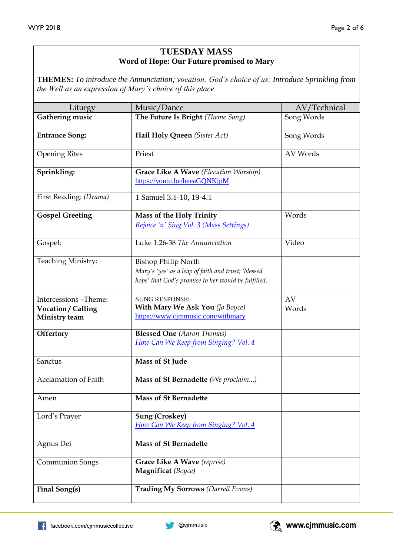### **TUESDAY MASS Word of Hope: Our Future promised to Mary**

**THEMES:** *To introduce the Annunciation; vocation; God's choice of us; Introduce Sprinkling from the Well as an expression of Mary's choice of this place*

| Liturgy                                                      | Music/Dance                                                                                                                              | AV/Technical |
|--------------------------------------------------------------|------------------------------------------------------------------------------------------------------------------------------------------|--------------|
| Gathering music                                              | The Future Is Bright (Theme Song)                                                                                                        | Song Words   |
| <b>Entrance Song:</b>                                        | Hail Holy Queen (Sister Act)                                                                                                             | Song Words   |
| <b>Opening Rites</b>                                         | Priest                                                                                                                                   | AV Words     |
| Sprinkling:                                                  | Grace Like A Wave (Elevation Worship)<br>https://youtu.be/beeaGQNKjpM                                                                    |              |
| First Reading: (Drama)                                       | 1 Samuel 3.1-10, 19-4.1                                                                                                                  |              |
| <b>Gospel Greeting</b>                                       | <b>Mass of the Holy Trinity</b><br>Rejoice 'n' Sing Vol. 3 (Mass Settings)                                                               | Words        |
| Gospel:                                                      | Luke 1:26-38 The Annunciation                                                                                                            | Video        |
| <b>Teaching Ministry:</b>                                    | <b>Bishop Philip North</b><br>Mary's 'yes' as a leap of faith and trust; 'blessed<br>hope' that God's promise to her would be fulfilled. |              |
| Intercessions -Theme:<br>Vocation / Calling<br>Ministry team | <b>SUNG RESPONSE:</b><br>With Mary We Ask You (Jo Boyce)<br>https://www.cjmmusic.com/withmary                                            | AV<br>Words  |
| <b>Offertory</b>                                             | <b>Blessed One</b> (Aaron Thomas)<br>How Can We Keep from Singing? Vol. 4                                                                |              |
| Sanctus                                                      | Mass of St Jude                                                                                                                          |              |
| <b>Acclamation of Faith</b>                                  | Mass of St Bernadette (We proclaim)                                                                                                      |              |
| Amen                                                         | Mass of St Bernadette                                                                                                                    |              |
| Lord's Prayer                                                | <b>Sung (Croskey)</b><br>How Can We Keep from Singing? Vol. 4                                                                            |              |
| Agnus Dei                                                    | <b>Mass of St Bernadette</b>                                                                                                             |              |
| <b>Communion Songs</b>                                       | Grace Like A Wave (reprise)<br>Magnificat (Boyce)                                                                                        |              |
| Final Song(s)                                                | <b>Trading My Sorrows (Darrell Evans)</b>                                                                                                |              |

**C** @cjmmusic

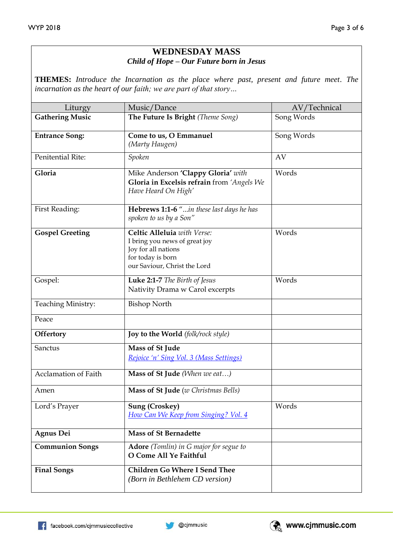# **WEDNESDAY MASS** *Child of Hope – Our Future born in Jesus*

**THEMES:** *Introduce the Incarnation as the place where past, present and future meet. The incarnation as the heart of our faith; we are part of that story…*

| Liturgy                     | Music/Dance                                                                                                                              | AV/Technical |
|-----------------------------|------------------------------------------------------------------------------------------------------------------------------------------|--------------|
| <b>Gathering Music</b>      | The Future Is Bright (Theme Song)                                                                                                        | Song Words   |
| <b>Entrance Song:</b>       | Come to us, O Emmanuel<br>(Marty Haugen)                                                                                                 | Song Words   |
| Penitential Rite:           | Spoken                                                                                                                                   | AV           |
| Gloria                      | Mike Anderson 'Clappy Gloria' with<br>Gloria in Excelsis refrain from 'Angels We<br>Have Heard On High'                                  | Words        |
| First Reading:              | Hebrews 1:1-6 "in these last days he has<br>spoken to us by a Son"                                                                       |              |
| <b>Gospel Greeting</b>      | Celtic Alleluia with Verse:<br>I bring you news of great joy<br>Joy for all nations<br>for today is born<br>our Saviour, Christ the Lord | Words        |
| Gospel:                     | Luke 2:1-7 The Birth of Jesus<br>Nativity Drama w Carol excerpts                                                                         | Words        |
| <b>Teaching Ministry:</b>   | <b>Bishop North</b>                                                                                                                      |              |
| Peace                       |                                                                                                                                          |              |
| <b>Offertory</b>            | Joy to the World (folk/rock style)                                                                                                       |              |
| Sanctus                     | Mass of St Jude<br>Rejoice 'n' Sing Vol. 3 (Mass Settings)                                                                               |              |
| <b>Acclamation of Faith</b> | Mass of St Jude (When we eat)                                                                                                            |              |
| Amen                        | Mass of St Jude (w Christmas Bells)                                                                                                      |              |
| Lord's Prayer               | <b>Sung (Croskey)</b><br>How Can We Keep from Singing? Vol. 4                                                                            | Words        |
| <b>Agnus Dei</b>            | <b>Mass of St Bernadette</b>                                                                                                             |              |
| <b>Communion Songs</b>      | <b>Adore</b> (Tomlin) in G major for segue to<br>O Come All Ye Faithful                                                                  |              |
| <b>Final Songs</b>          | <b>Children Go Where I Send Thee</b><br>(Born in Bethlehem CD version)                                                                   |              |

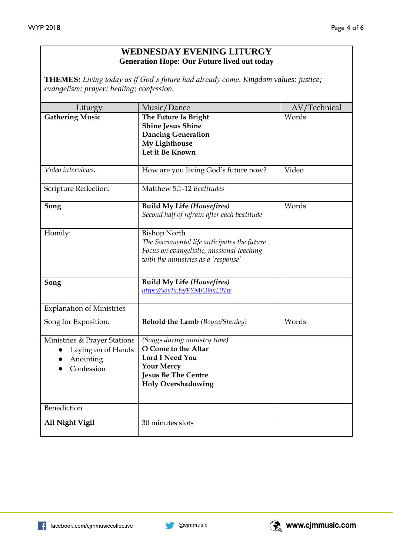## **WEDNESDAY EVENING LITURGY Generation Hope: Our Future lived out today**

**THEMES:** *Living today as if God's future had already come. Kingdom values: justice; evangelism; prayer; healing; confession.*

| Liturgy                                                                       | Music/Dance                                                                                                                                                   | AV/Technical |
|-------------------------------------------------------------------------------|---------------------------------------------------------------------------------------------------------------------------------------------------------------|--------------|
| <b>Gathering Music</b>                                                        | The Future Is Bright<br><b>Shine Jesus Shine</b><br><b>Dancing Generation</b><br>My Lighthouse<br>Let it Be Known                                             | Words        |
| Video interviews:                                                             | How are you living God's future now?                                                                                                                          | Video        |
| Scripture Reflection:                                                         | Matthew 5.1-12 Beatitudes                                                                                                                                     |              |
| Song                                                                          | <b>Build My Life (Housefires)</b><br>Second half of refrain after each beatitude                                                                              | Words        |
| Homily:                                                                       | <b>Bishop North</b><br>The Sacramental life anticipates the future<br>Focus on evangelistic, missional teaching<br>with the ministries as a 'response'        |              |
| Song                                                                          | <b>Build My Life (Housefires)</b><br>https://youtu.be/FYMjO9mL0Tw                                                                                             |              |
| <b>Explanation of Ministries</b>                                              |                                                                                                                                                               |              |
| Song for Exposition:                                                          | <b>Behold the Lamb</b> (Boyce/Stanley)                                                                                                                        | Words        |
| Ministries & Prayer Stations<br>Laying on of Hands<br>Anointing<br>Confession | (Songs during ministry time)<br>O Come to the Altar<br><b>Lord I Need You</b><br><b>Your Mercy</b><br><b>Jesus Be The Centre</b><br><b>Holy Overshadowing</b> |              |
| Benediction                                                                   |                                                                                                                                                               |              |
| All Night Vigil                                                               | 30 minutes slots                                                                                                                                              |              |

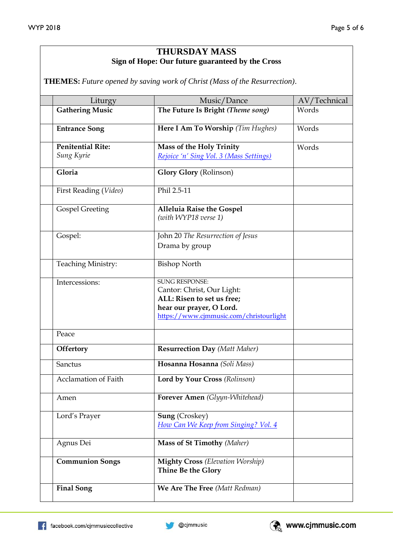## **THURSDAY MASS Sign of Hope: Our future guaranteed by the Cross**

**THEMES:** *Future opened by saving work of Christ (Mass of the Resurrection)*.

| Liturgy                     | Music/Dance                                                                                                                                              | AV/Technical |
|-----------------------------|----------------------------------------------------------------------------------------------------------------------------------------------------------|--------------|
| <b>Gathering Music</b>      | The Future Is Bright (Theme song)                                                                                                                        | Words        |
| <b>Entrance Song</b>        | Here I Am To Worship (Tim Hughes)                                                                                                                        | Words        |
| <b>Penitential Rite:</b>    | Mass of the Holy Trinity                                                                                                                                 | Words        |
| Sung Kyrie                  | Rejoice 'n' Sing Vol. 3 (Mass Settings)                                                                                                                  |              |
| Gloria                      | <b>Glory Glory (Rolinson)</b>                                                                                                                            |              |
| First Reading (Video)       | Phil 2.5-11                                                                                                                                              |              |
| <b>Gospel Greeting</b>      | <b>Alleluia Raise the Gospel</b><br>(with WYP18 verse 1)                                                                                                 |              |
| Gospel:                     | John 20 The Resurrection of Jesus<br>Drama by group                                                                                                      |              |
| <b>Teaching Ministry:</b>   | <b>Bishop North</b>                                                                                                                                      |              |
| Intercessions:              | <b>SUNG RESPONSE:</b><br>Cantor: Christ, Our Light:<br>ALL: Risen to set us free;<br>hear our prayer, O Lord.<br>https://www.cjmmusic.com/christourlight |              |
| Peace                       |                                                                                                                                                          |              |
| Offertory                   | <b>Resurrection Day (Matt Maher)</b>                                                                                                                     |              |
| Sanctus                     | Hosanna Hosanna (Soli Mass)                                                                                                                              |              |
| <b>Acclamation of Faith</b> | Lord by Your Cross (Rolinson)                                                                                                                            |              |
| Amen                        | Forever Amen (Glyyn-Whitehead)                                                                                                                           |              |
| Lord's Prayer               | <b>Sung (Croskey)</b><br>How Can We Keep from Singing? Vol. 4                                                                                            |              |
| Agnus Dei                   | <b>Mass of St Timothy (Maher)</b>                                                                                                                        |              |
| <b>Communion Songs</b>      | <b>Mighty Cross</b> (Elevation Worship)<br>Thine Be the Glory                                                                                            |              |
| <b>Final Song</b>           | We Are The Free (Matt Redman)                                                                                                                            |              |